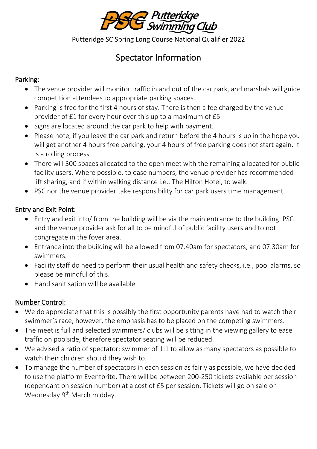

Putteridge SC Spring Long Course National Qualifier 2022

# Spectator Information

# Parking:

- The venue provider will monitor traffic in and out of the car park, and marshals will guide competition attendees to appropriate parking spaces.
- Parking is free for the first 4 hours of stay. There is then a fee charged by the venue provider of £1 for every hour over this up to a maximum of £5.
- Signs are located around the car park to help with payment.
- Please note, if you leave the car park and return before the 4 hours is up in the hope you will get another 4 hours free parking, your 4 hours of free parking does not start again. It is a rolling process.
- There will 300 spaces allocated to the open meet with the remaining allocated for public facility users. Where possible, to ease numbers, the venue provider has recommended lift sharing, and if within walking distance i.e., The Hilton Hotel, to walk.
- PSC nor the venue provider take responsibility for car park users time management.

# Entry and Exit Point:

- Entry and exit into/ from the building will be via the main entrance to the building. PSC and the venue provider ask for all to be mindful of public facility users and to not congregate in the foyer area.
- Entrance into the building will be allowed from 07.40am for spectators, and 07.30am for swimmers.
- Facility staff do need to perform their usual health and safety checks, i.e., pool alarms, so please be mindful of this.
- Hand sanitisation will be available.

## Number Control:

- We do appreciate that this is possibly the first opportunity parents have had to watch their swimmer's race, however, the emphasis has to be placed on the competing swimmers.
- The meet is full and selected swimmers/ clubs will be sitting in the viewing gallery to ease traffic on poolside, therefore spectator seating will be reduced.
- We advised a ratio of spectator: swimmer of 1:1 to allow as many spectators as possible to watch their children should they wish to.
- To manage the number of spectators in each session as fairly as possible, we have decided to use the platform Eventbrite. There will be between 200-250 tickets available per session (dependant on session number) at a cost of £5 per session. Tickets will go on sale on Wednesday 9<sup>th</sup> March midday.